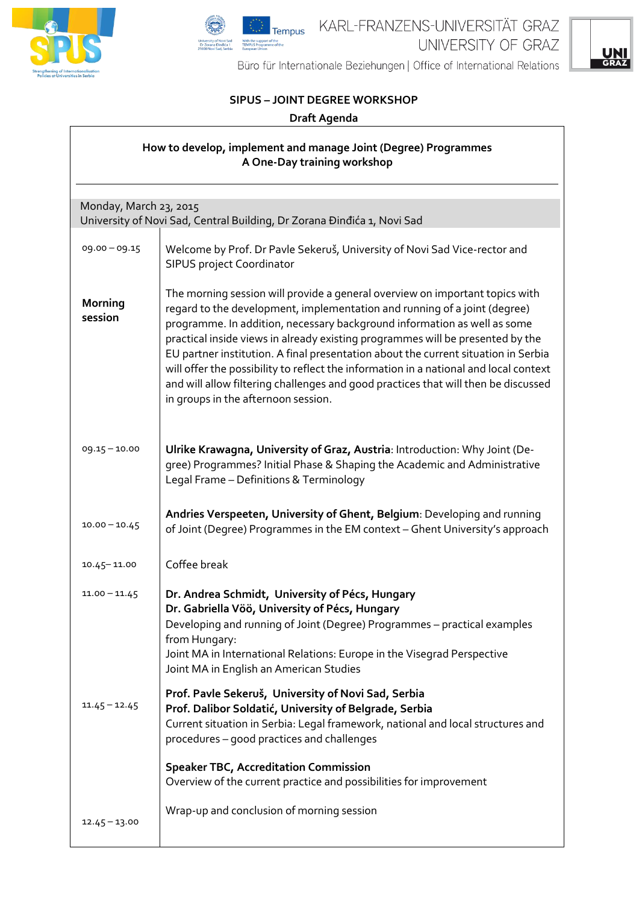





Büro für Internationale Beziehungen | Office of International Relations

## **SIPUS – JOINT DEGREE WORKSHOP**

## **Draft Agenda**

| How to develop, implement and manage Joint (Degree) Programmes<br>A One-Day training workshop |                                                                                                                                                                                                                                                                                                                                                                                                                                                                                                                                                                                                                                     |  |
|-----------------------------------------------------------------------------------------------|-------------------------------------------------------------------------------------------------------------------------------------------------------------------------------------------------------------------------------------------------------------------------------------------------------------------------------------------------------------------------------------------------------------------------------------------------------------------------------------------------------------------------------------------------------------------------------------------------------------------------------------|--|
| Monday, March 23, 2015                                                                        |                                                                                                                                                                                                                                                                                                                                                                                                                                                                                                                                                                                                                                     |  |
|                                                                                               | University of Novi Sad, Central Building, Dr Zorana Đinđića 1, Novi Sad                                                                                                                                                                                                                                                                                                                                                                                                                                                                                                                                                             |  |
| 09.00 - 09.15                                                                                 | Welcome by Prof. Dr Pavle Sekeruš, University of Novi Sad Vice-rector and<br><b>SIPUS project Coordinator</b>                                                                                                                                                                                                                                                                                                                                                                                                                                                                                                                       |  |
| <b>Morning</b><br>session                                                                     | The morning session will provide a general overview on important topics with<br>regard to the development, implementation and running of a joint (degree)<br>programme. In addition, necessary background information as well as some<br>practical inside views in already existing programmes will be presented by the<br>EU partner institution. A final presentation about the current situation in Serbia<br>will offer the possibility to reflect the information in a national and local context<br>and will allow filtering challenges and good practices that will then be discussed<br>in groups in the afternoon session. |  |
| $09.15 - 10.00$                                                                               | Ulrike Krawagna, University of Graz, Austria: Introduction: Why Joint (De-<br>gree) Programmes? Initial Phase & Shaping the Academic and Administrative<br>Legal Frame - Definitions & Terminology                                                                                                                                                                                                                                                                                                                                                                                                                                  |  |
| $10.00 - 10.45$                                                                               | Andries Verspeeten, University of Ghent, Belgium: Developing and running<br>of Joint (Degree) Programmes in the EM context - Ghent University's approach                                                                                                                                                                                                                                                                                                                                                                                                                                                                            |  |
| $10.45 - 11.00$                                                                               | Coffee break                                                                                                                                                                                                                                                                                                                                                                                                                                                                                                                                                                                                                        |  |
| $11.00 - 11.45$                                                                               | Dr. Andrea Schmidt, University of Pécs, Hungary<br>Dr. Gabriella Vöö, University of Pécs, Hungary<br>Developing and running of Joint (Degree) Programmes - practical examples<br>from Hungary:<br>Joint MA in International Relations: Europe in the Visegrad Perspective<br>Joint MA in English an American Studies                                                                                                                                                                                                                                                                                                                |  |
| $11.45 - 12.45$                                                                               | Prof. Pavle Sekeruš, University of Novi Sad, Serbia<br>Prof. Dalibor Soldatić, University of Belgrade, Serbia<br>Current situation in Serbia: Legal framework, national and local structures and<br>procedures - good practices and challenges                                                                                                                                                                                                                                                                                                                                                                                      |  |
|                                                                                               | <b>Speaker TBC, Accreditation Commission</b><br>Overview of the current practice and possibilities for improvement                                                                                                                                                                                                                                                                                                                                                                                                                                                                                                                  |  |
| $12.45 - 13.00$                                                                               | Wrap-up and conclusion of morning session                                                                                                                                                                                                                                                                                                                                                                                                                                                                                                                                                                                           |  |